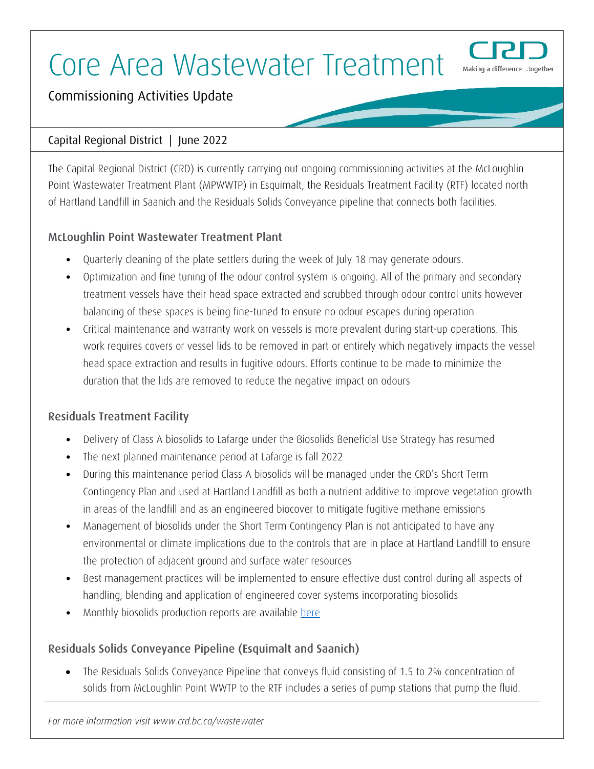# Core Area Wastewater Treatment



## Commissioning Activities Update

#### Capital Regional District | June 2022

The Capital Regional District (CRD) is currently carrying out ongoing commissioning activities at the McLoughlin Point Wastewater Treatment Plant (MPWWTP) in Esquimalt, the Residuals Treatment Facility (RTF) located north of Hartland Landfill in Saanich and the Residuals Solids Conveyance pipeline that connects both facilities.

#### McLoughlin Point Wastewater Treatment Plant

- Quarterly cleaning of the plate settlers during the week of July 18 may generate odours.
- Optimization and fine tuning of the odour control system is ongoing. All of the primary and secondary treatment vessels have their head space extracted and scrubbed through odour control units however balancing of these spaces is being fine-tuned to ensure no odour escapes during operation
- Critical maintenance and warranty work on vessels is more prevalent during start-up operations. This work requires covers or vessel lids to be removed in part or entirely which negatively impacts the vessel head space extraction and results in fugitive odours. Efforts continue to be made to minimize the duration that the lids are removed to reduce the negative impact on odours

#### Residuals Treatment Facility

- Delivery of Class A biosolids to Lafarge under the Biosolids Beneficial Use Strategy has resumed
- The next planned maintenance period at Lafarge is fall 2022
- During this maintenance period Class A biosolids will be managed under the CRD's Short Term Contingency Plan and used at Hartland Landfill as both a nutrient additive to improve vegetation growth in areas of the landfill and as an engineered biocover to mitigate fugitive methane emissions
- Management of biosolids under the Short Term Contingency Plan is not anticipated to have any environmental or climate implications due to the controls that are in place at Hartland Landfill to ensure the protection of adjacent ground and surface water resources
- Best management practices will be implemented to ensure effective dust control during all aspects of handling, blending and application of engineered cover systems incorporating biosolids
- Monthly biosolids production reports are available [here](https://www.crd.bc.ca/about/data/biosolids-production)

### Residuals Solids Conveyance Pipeline (Esquimalt and Saanich)

• The Residuals Solids Conveyance Pipeline that conveys fluid consisting of 1.5 to 2% concentration of solids from McLoughlin Point WWTP to the RTF includes a series of pump stations that pump the fluid.

*For more information visit www.crd.bc.ca/wastewater*